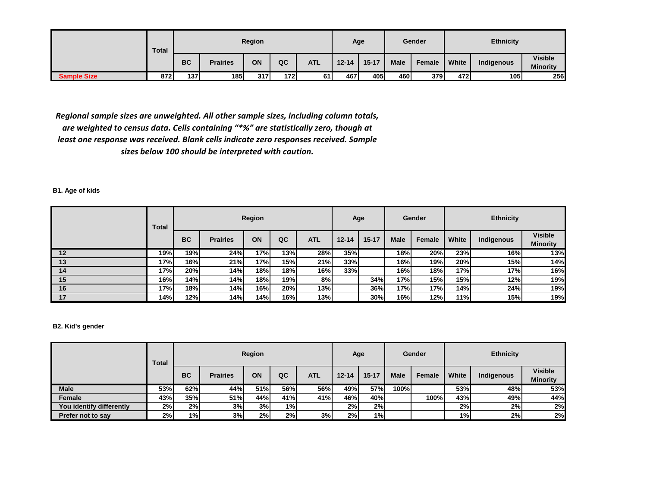|                    | Total |                  |                 | Region |             |            |           | Age       |             | Gender |       | <b>Ethnicity</b> |                                   |
|--------------------|-------|------------------|-----------------|--------|-------------|------------|-----------|-----------|-------------|--------|-------|------------------|-----------------------------------|
|                    |       | <b>BC</b>        | <b>Prairies</b> | ON     | QC          | <b>ATL</b> | $12 - 14$ | $15 - 17$ | <b>Male</b> | Female | White | Indigenous       | <b>Visible</b><br><b>Minority</b> |
| <b>Sample Size</b> | 872   | 137 <sup>l</sup> | 185             | 317    | <b>1721</b> | 61         | 467       | 405       | 460         | 379    | 472   | 105              | 256                               |

*Regional sample sizes are unweighted. All other sample sizes, including column totals, are weighted to census data. Cells containing "\*%" are statistically zero, though at least one response was received. Blank cells indicate zero responses received. Sample sizes below 100 should be interpreted with caution.*

## **B1. Age of kids**

|         | Total |           |                 | Region |     |            | Age       |       |             | Gender |       | <b>Ethnicity</b> |                                   |
|---------|-------|-----------|-----------------|--------|-----|------------|-----------|-------|-------------|--------|-------|------------------|-----------------------------------|
|         |       | <b>BC</b> | <b>Prairies</b> | ON     | QC  | <b>ATL</b> | $12 - 14$ | 15-17 | <b>Male</b> | Female | White | Indigenous       | <b>Visible</b><br><b>Minority</b> |
| $12 \,$ | 19%   | 19%       | 24%             | 17%    | 13% | 28%        | 35%       |       | 18%         | 20%    | 23%   | 16%              | 13%                               |
| 13      | 17%   | 16%l      | 21%             | 17%    | 15% | 21%        | 33%       |       | 16%         | 19%    | 20%   | 15%              | 14%                               |
| 14      | 17%I  | 20%       | 14%             | 18%l   | 18% | 16%        | 33%       |       | 16%         | 18%    | 17%   | 17%              | 16%                               |
| 15      | 16%   | 14%l      | 14%             | 18%l   | 19% | 8%         |           | 34%   | 17%         | 15%    | 15%   | 12%              | 19%                               |
| 16      | 17%   | 18%       | 14%             | 16%    | 20% | 13%        |           | 36%   | 17%         | 17%    | 14%   | 24%              | 19%                               |
| 17      | 14%   | 12%       | 14%             | 14%    | 16% | 13%        |           | 30%   | 16%         | 12%    | 11%   | 15%              | 19%                               |

## **B2. Kid's gender**

|                          | Total      |           |                 | Region |     |            |           | Age       |             | Gender |       | <b>Ethnicity</b> |                                   |
|--------------------------|------------|-----------|-----------------|--------|-----|------------|-----------|-----------|-------------|--------|-------|------------------|-----------------------------------|
|                          |            | <b>BC</b> | <b>Prairies</b> | ON     | QC  | <b>ATL</b> | $12 - 14$ | $15 - 17$ | <b>Male</b> | Female | White | Indigenous       | <b>Visible</b><br><b>Minority</b> |
| Male                     | <b>53%</b> | 62%       | 44%             | 51%l   | 56% | 56%        | 49%       | 57%l      | 100%        |        | 53%   | 48%              | 53%                               |
| Female                   | 43%        | 35%       | 51%             | 44%    | 41% | 41%        | 46%l      | 40%       |             | 100%   | 43%   | 49%              | 44%                               |
| You identify differently | 2%         | 2%        | 3%              | 3%     | 1%I |            | 2%        | 2%        |             |        | 2%    | 2%               | 2%                                |
| Prefer not to say        | 2%         | 1%        | 3%              | 2%     | 2%  | 3%         | 2%        | 1%I       |             |        | 1%    | 2%               | 2%                                |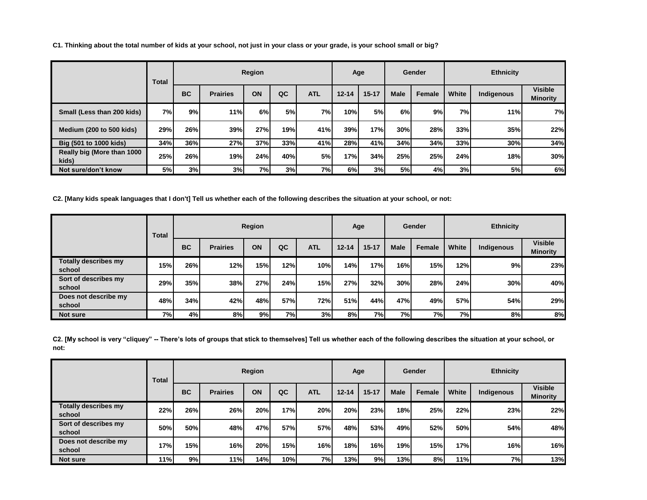**C1. Thinking about the total number of kids at your school, not just in your class or your grade, is your school small or big?**

|                                     | Total     |            |                 | Region |            |            |           | Age       |             | Gender |       | <b>Ethnicity</b> |                                   |
|-------------------------------------|-----------|------------|-----------------|--------|------------|------------|-----------|-----------|-------------|--------|-------|------------------|-----------------------------------|
|                                     |           | <b>BC</b>  | <b>Prairies</b> | ON     | QC         | <b>ATL</b> | $12 - 14$ | $15 - 17$ | <b>Male</b> | Female | White | Indigenous       | <b>Visible</b><br><b>Minority</b> |
| Small (Less than 200 kids)          | <b>7%</b> | 9%         | 11%             | 6%     | <b>5%</b>  | 7%         | 10%       | <b>5%</b> | 6%          | 9%     | 7%    | 11%              | 7%                                |
| Medium (200 to 500 kids)            | 29%       | <b>26%</b> | 39%             | 27%    | <b>19%</b> | 41%        | 39%       | 17%       | 30%         | 28%    | 33%   | 35%              | 22%                               |
| Big (501 to 1000 kids)              | 34%       | 36%        | 27%             | 37%    | 33%        | 41%        | 28%       | 41%       | 34%         | 34%    | 33%   | 30%              | 34%                               |
| Really big (More than 1000<br>kids) | 25%       | <b>26%</b> | 19%             | 24%    | 40%l       | 5%         | 17%       | 34%       | 25%         | 25%    | 24%   | 18%              | 30%                               |
| Not sure/don't know                 | 5%        | 3%         | 3%              | 7%     | 3%         | 7%I        | 6%        | 3%        | 5%          | 4%     | 3%    | 5%               | 6%                                |

**C2. [Many kids speak languages that I don't] Tell us whether each of the following describes the situation at your school, or not:**

|                                       | Total |           |                 | Region |           |            |           | Age       |             | Gender |       | <b>Ethnicity</b> |                                   |
|---------------------------------------|-------|-----------|-----------------|--------|-----------|------------|-----------|-----------|-------------|--------|-------|------------------|-----------------------------------|
|                                       |       | <b>BC</b> | <b>Prairies</b> | ON     | QC        | <b>ATL</b> | $12 - 14$ | $15 - 17$ | <b>Male</b> | Female | White | Indigenous       | <b>Visible</b><br><b>Minority</b> |
| <b>Totally describes my</b><br>school | 15%   | 26%       | 12%             | 15%    | 12%       | 10%        | 14%       | 17%       | 16%         | 15%    | 12%   | 9%               | 23%                               |
| Sort of describes my<br>school        | 29%   | 35%       | <b>38%</b>      | 27%    | 24%       | 15%        | 27%       | 32%       | 30%         | 28%    | 24%   | 30%              | 40%                               |
| Does not describe my<br>school        | 48%   | 34%       | 42%             | 48%l   | 57%       | 72%        | 51%l      | 44%       | 47%         | 49%    | 57%   | 54%              | 29%                               |
| <b>Not sure</b>                       | 7%)   | 4%I       | 8%              | 9%     | <b>7%</b> | 3%         | 8%        | 7%        | 7%          | 7%     | 7%    | 8%               | 8%                                |

C2. [My school is very "cliquey" -- There's lots of groups that stick to themselves] Tell us whether each of the following describes the situation at your school, or **not:**

|                                       | Total |           |                 | Region |     |            |           | Age       |             | Gender |       | <b>Ethnicity</b> |                                   |
|---------------------------------------|-------|-----------|-----------------|--------|-----|------------|-----------|-----------|-------------|--------|-------|------------------|-----------------------------------|
|                                       |       | <b>BC</b> | <b>Prairies</b> | ON     | QC  | <b>ATL</b> | $12 - 14$ | $15 - 17$ | <b>Male</b> | Female | White | Indigenous       | <b>Visible</b><br><b>Minority</b> |
| <b>Totally describes my</b><br>school | 22%   | 26%       | 26%             | 20%    | 17% | 20%        | 20%       | 23%       | 18%         | 25%    | 22%   | 23%              | 22%                               |
| Sort of describes my<br>school        | 50%   | 50%       | 48%             | 47%l   | 57% | <b>57%</b> | 48%I      | 53%       | 49%         | 52%    | 50%   | 54%              | 48%                               |
| Does not describe my<br>school        | 17%   | 15%       | 16%             | 20%    | 15% | 16%        | 18%       | 16%l      | <b>19%</b>  | 15%    | 17%   | 16%              | 16%                               |
| <b>Not sure</b>                       | 11%   | 9%        | 11%             | 14%l   | 10% | 7%I        | 13%       | 9%        | 13%         | 8%     | 11%   | 7%               | 13%                               |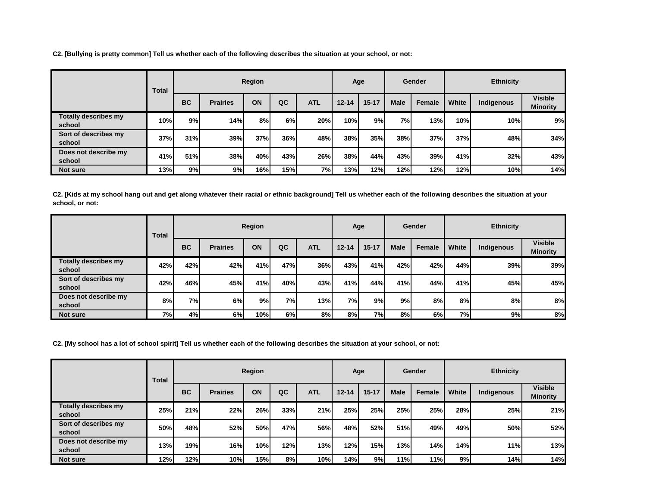**C2. [Bullying is pretty common] Tell us whether each of the following describes the situation at your school, or not:**

|                                       | Total |           |                 | Region |     |            |           | Age       |             | Gender |       | <b>Ethnicity</b> |                                   |
|---------------------------------------|-------|-----------|-----------------|--------|-----|------------|-----------|-----------|-------------|--------|-------|------------------|-----------------------------------|
|                                       |       | <b>BC</b> | <b>Prairies</b> | ON     | QC  | <b>ATL</b> | $12 - 14$ | $15 - 17$ | <b>Male</b> | Female | White | Indigenous       | <b>Visible</b><br><b>Minority</b> |
| <b>Totally describes my</b><br>school | 10%   | 9%        | 14%             | 8%     | 6%  | 20%        | 10%       | 9%        | <b>7%</b>   | 13%    | 10%   | 10%              | 9%                                |
| Sort of describes my<br>school        | 37%   | 31%       | 39%             | 37%    | 36% | 48%        | 38%       | 35%       | 38%         | 37%    | 37%   | 48%              | 34%                               |
| Does not describe my<br>school        | 41%   | 51%       | 38%             | 40%    | 43% | 26%        | 38%       | 44%       | 43%         | 39%    | 41%   | 32%              | 43%                               |
| <b>Not sure</b>                       | 13%   | 9%l       | 9%              | 16%    | 15% | 7%         | 13%       | 12%       | 12%         | 12%    | 12%   | 10%              | 14%                               |

**C2. [Kids at my school hang out and get along whatever their racial or ethnic background] Tell us whether each of the following describes the situation at your school, or not:**

|                                       | Total |           |                 | Region |           |            |           | Age       |             | <b>Gender</b> |       | <b>Ethnicity</b> |                                   |
|---------------------------------------|-------|-----------|-----------------|--------|-----------|------------|-----------|-----------|-------------|---------------|-------|------------------|-----------------------------------|
|                                       |       | <b>BC</b> | <b>Prairies</b> | ON     | QC        | <b>ATL</b> | $12 - 14$ | $15 - 17$ | <b>Male</b> | Female        | White | Indigenous       | <b>Visible</b><br><b>Minority</b> |
| <b>Totally describes my</b><br>school | 42%   | 42%       | 42%             | 41%l   | 47%       | 36%        | 43%       | 41%       | 42%         | 42%           | 44%   | 39%              | 39%                               |
| Sort of describes my<br>school        | 42%   | 46%       | 45%             | 41%    | 40%       | 43%        | 41%       | 44%       | 41%         | 44%           | 41%   | 45%              | 45%                               |
| Does not describe my<br>school        | 8%    | 7% l      | 6%              | 9%I    | <b>7%</b> | 13%        | 7%        | 9%        | 9%          | 8%            | 8%    | 8%               | 8%                                |
| <b>Not sure</b>                       | 7%    | 4%        | 6%              | 10%    | 6%        | 8%         | 8%        | <b>7%</b> | 8%          | 6%            | 7%    | 9%               | 8%                                |

**C2. [My school has a lot of school spirit] Tell us whether each of the following describes the situation at your school, or not:**

|                                       | Total |           |                 | Region |     |            |           | Age       |             | Gender |       | <b>Ethnicity</b> |                                   |
|---------------------------------------|-------|-----------|-----------------|--------|-----|------------|-----------|-----------|-------------|--------|-------|------------------|-----------------------------------|
|                                       |       | <b>BC</b> | <b>Prairies</b> | ON     | QC  | <b>ATL</b> | $12 - 14$ | $15 - 17$ | <b>Male</b> | Female | White | Indigenous       | <b>Visible</b><br><b>Minority</b> |
| <b>Totally describes my</b><br>school | 25%   | 21%       | 22%             | 26%    | 33% | 21%        | 25%       | 25%       | 25%         | 25%    | 28%   | 25%              | 21%                               |
| Sort of describes my<br>school        | 50%   | 48%       | 52%             | 50%    | 47% | 56%        | 48%I      | 52%       | 51%         | 49%    | 49%   | 50%              | 52%                               |
| Does not describe my<br>school        | 13%   | 19%       | 16%             | 10%    | 12% | 13%        | 12%       | 15%       | 13%         | 14%    | 14%   | 11%              | 13%                               |
| <b>Not sure</b>                       | 12%   | 12%       | 10%             | 15%    | 8%  | 10%        | 14%       | 9%        | 11%         | 11%    | 9%    | 14%              | 14%                               |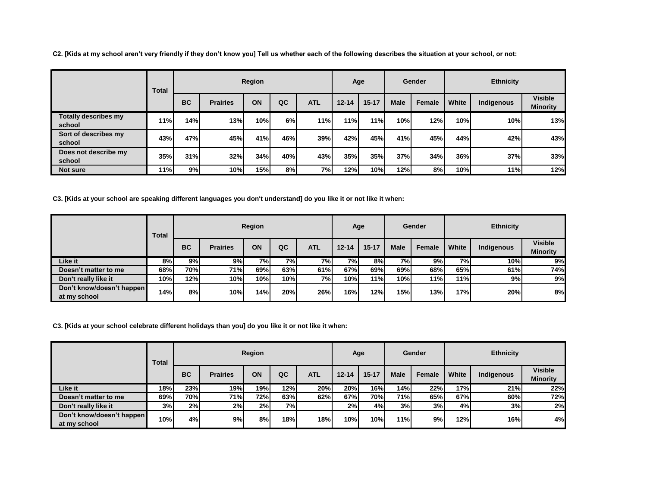**C2. [Kids at my school aren't very friendly if they don't know you] Tell us whether each of the following describes the situation at your school, or not:**

|                                       | Total      |           |                 | Region |     |            |           | Age       |             | Gender |       | <b>Ethnicity</b> |                                   |
|---------------------------------------|------------|-----------|-----------------|--------|-----|------------|-----------|-----------|-------------|--------|-------|------------------|-----------------------------------|
|                                       |            | <b>BC</b> | <b>Prairies</b> | ON     | QC  | <b>ATL</b> | $12 - 14$ | $15 - 17$ | <b>Male</b> | Female | White | Indigenous       | <b>Visible</b><br><b>Minority</b> |
| <b>Totally describes my</b><br>school | <b>11%</b> | 14%       | 13%             | 10%    | 6%  | 11%        | 11%       | 11%       | 10%         | 12%    | 10%   | 10%              | 13%                               |
| Sort of describes my<br>school        | 43%        | 47%       | 45%             | 41%    | 46% | 39%        | 42%       | 45%       | 41%         | 45%    | 44%   | 42%              | 43%                               |
| Does not describe my<br>school        | <b>35%</b> | 31%       | 32%             | 34%    | 40% | 43%        | 35%       | 35%       | 37%         | 34%    | 36%   | 37%              | 33%                               |
| <b>Not sure</b>                       | 11%        | 9% l      | 10%             | 15%    | 8%  | 7%         | 12%       | 10%       | 12%         | 8%     | 10%   | 11%              | 12%                               |

**C3. [Kids at your school are speaking different languages you don't understand] do you like it or not like it when:**

|                                           | Total |           |                 | Region    |           |            |           | Age       |             | Gender |           | <b>Ethnicity</b> |                                   |
|-------------------------------------------|-------|-----------|-----------------|-----------|-----------|------------|-----------|-----------|-------------|--------|-----------|------------------|-----------------------------------|
|                                           |       | <b>BC</b> | <b>Prairies</b> | ON        | QC        | <b>ATL</b> | $12 - 14$ | $15 - 17$ | <b>Male</b> | Female | White     | Indigenous       | <b>Visible</b><br><b>Minority</b> |
| Like it                                   | 8%    | 9%        | 9%              | <b>7%</b> | <b>7%</b> | 7%         | <b>7%</b> | 8%        | 7%          | 9%     | <b>7%</b> | 10%              | 9%                                |
| Doesn't matter to me                      | 68%   | 70%       | 71%             | 69%l      | 63%       | 61%        | 67%l      | 69%       | 69%         | 68%    | 65%       | 61%              | 74%                               |
| Don't really like it                      | 10%   | 12%       | 10%             | 10%       | 10%       | 7%         | 10%       | 11%       | 10%         | 11%    | 11%       | 9% l             | 9%                                |
| Don't know/doesn't happen<br>at my school | 14%   | 8%        | 10%             | 14%       | 20%       | 26%        | 16%       | 12%       | 15%         | 13%    | 17%       | 20%              | 8%                                |

**C3. [Kids at your school celebrate different holidays than you] do you like it or not like it when:**

|                                           | Total |           |                 | Region |     |            |            | Age       |             | Gender |       | <b>Ethnicity</b> |                                   |
|-------------------------------------------|-------|-----------|-----------------|--------|-----|------------|------------|-----------|-------------|--------|-------|------------------|-----------------------------------|
|                                           |       | <b>BC</b> | <b>Prairies</b> | ON     | QC  | <b>ATL</b> | $12 - 14$  | $15 - 17$ | <b>Male</b> | Female | White | Indigenous       | <b>Visible</b><br><b>Minority</b> |
| Like it                                   | 18%   | 23%       | 19%             | 19%    | 12% | 20%        | <b>20%</b> | 16%I      | 14%         | 22%    | 17%   | 21%              | 22%                               |
| Doesn't matter to me                      | 69%   | 70%       | 71%             | 72%    | 63% | 62%        | 67%        | 70%       | <b>71%</b>  | 65%    | 67%   | 60%              | 72%                               |
| Don't really like it                      | 3%    | 2%        | 2%              | 2%     | 7%l |            | 2%         | 4%l       | 3%          | 3%     | 4%    | 3%               | 2%                                |
| Don't know/doesn't happen<br>at my school | 10%   | 4%        | 9%              | 8%     | 18% | 18%        | 10%        | 10%       | 11%         | 9%     | 12%   | 16%              | 4%                                |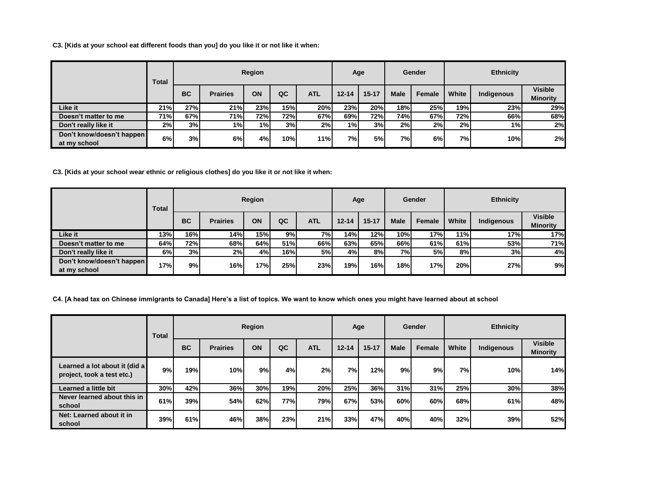**C3. [Kids at your school eat different foods than you] do you like it or not like it when:**

|                                           | Total |           |                 | Region |     |            |           | Age       |             | Gender |                 | <b>Ethnicity</b> |                                   |
|-------------------------------------------|-------|-----------|-----------------|--------|-----|------------|-----------|-----------|-------------|--------|-----------------|------------------|-----------------------------------|
|                                           |       | <b>BC</b> | <b>Prairies</b> | ON     | QC  | <b>ATL</b> | $12 - 14$ | $15 - 17$ | <b>Male</b> | Female | White           | Indigenous       | <b>Visible</b><br><b>Minority</b> |
| Like it                                   | 21%   | 27%       | 21%             | 23%    | 15% | 20%        | 23%       | 20%       | 18%         | 25%    | 19%             | 23%              | 29%                               |
| Doesn't matter to me                      | 71%   | 67%       | 71%             | 72%    | 72% | 67%        | 69%       | 72%       | 74%         | 67%    | 72%             | 66%              | 68%                               |
| Don't really like it                      | 2%    | 3%        | 1% l            | 1%     | 3%  | 2%         | $1\%$     | 3%        | 2%          | 2%     | 2%              | 1%               | 2%                                |
| Don't know/doesn't happen<br>at my school | 6%    | 3%        | 6%              | 4%l    | 10% | 11%l       | 7%        | 5%        | 7%)         | 6%     | 7% <sub>1</sub> | 10%              | 2%                                |

**C3. [Kids at your school wear ethnic or religious clothes] do you like it or not like it when:**

|                                           | Total |           |                 | Region |     |            |           | Age       |             | Gender |       | <b>Ethnicity</b> |                                   |
|-------------------------------------------|-------|-----------|-----------------|--------|-----|------------|-----------|-----------|-------------|--------|-------|------------------|-----------------------------------|
|                                           |       | <b>BC</b> | <b>Prairies</b> | ON     | QC  | <b>ATL</b> | $12 - 14$ | $15 - 17$ | <b>Male</b> | Female | White | Indigenous       | <b>Visible</b><br><b>Minority</b> |
| Like it                                   | 13%   | 16%       | 14%             | 15%    | 9%  | 7%I        | 14%l      | 12%       | 10%         | 17%    | 11%   | 17%              | 17%                               |
| Doesn't matter to me                      | 64%   | 72%       | 68%             | 64%    | 51% | 66%        | 63%       | 65%l      | 66%         | 61%    | 61%   | 53%              | 71%                               |
| Don't really like it                      | 6%    | 3%        | 2%              | 4%     | 16% | 5%         | 4%I       | 8%I       | 7%)         | 5%     | 8%    | 3%               | 4%                                |
| Don't know/doesn't happen<br>at my school | 17%   | 9%        | 16%             | 17%    | 25% | 23%        | 19%       | 16%       | 18%         | 17%    | 20%   | 27%              | 9%                                |

**C4. [A head tax on Chinese immigrants to Canada] Here's a list of topics. We want to know which ones you might have learned about at school**

|                                                             | Total |           |                 | Region |     |            | Age       |           |             | Gender |           | <b>Ethnicity</b> |                                   |
|-------------------------------------------------------------|-------|-----------|-----------------|--------|-----|------------|-----------|-----------|-------------|--------|-----------|------------------|-----------------------------------|
|                                                             |       | <b>BC</b> | <b>Prairies</b> | ON     | QC  | <b>ATL</b> | $12 - 14$ | $15 - 17$ | <b>Male</b> | Female | White     | Indigenous       | <b>Visible</b><br><b>Minority</b> |
| Learned a lot about it (did a<br>project, took a test etc.) | 9%    | 19%       | 10%             | 9%     | 4%  | 2%         | 7%        | 12%       | 9%          | 9%     | <b>7%</b> | 10%              | 14%                               |
| Learned a little bit                                        | 30%   | 42%       | 36%             | 30%    | 19% | 20%        | 25%       | 36%       | 31%         | 31%    | 25%       | 30%              | 38%                               |
| Never learned about this in<br>school                       | 61%   | 39%       | 54%             | 62%    | 77% | 79%        | 67%l      | 53%       | 60%         | 60%    | 68%       | 61%              | 48%                               |
| Net: Learned about it in<br>school                          | 39%   | 61%       | 46%             | 38%    | 23% | 21%        | 33%       | 47%       | 40%         | 40%    | 32%       | 39%              | 52%                               |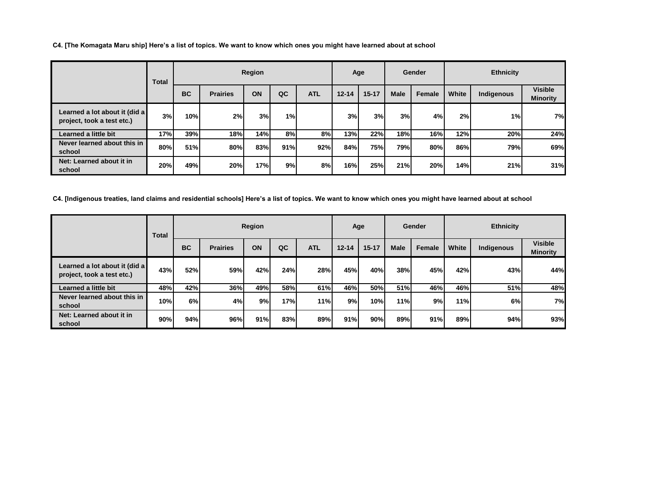**C4. [The Komagata Maru ship] Here's a list of topics. We want to know which ones you might have learned about at school**

|                                                             | Total |           |                 | Region |     |            |           | Age       |             | Gender |       | <b>Ethnicity</b> |                                   |
|-------------------------------------------------------------|-------|-----------|-----------------|--------|-----|------------|-----------|-----------|-------------|--------|-------|------------------|-----------------------------------|
|                                                             |       | <b>BC</b> | <b>Prairies</b> | ON     | QC  | <b>ATL</b> | $12 - 14$ | $15 - 17$ | <b>Male</b> | Female | White | Indigenous       | <b>Visible</b><br><b>Minority</b> |
| Learned a lot about it (did a<br>project, took a test etc.) | 3%    | 10%       | 2%              | 3%     | 1%  |            | 3%        | 3%        | 3%          | 4%     | 2%    | 1%               | 7%                                |
| Learned a little bit                                        | 17%   | 39%       | 18%             | 14%    | 8%I | 8%         | 13%       | 22%       | 18%         | 16%    | 12%   | 20%              | 24%                               |
| Never learned about this in<br>school                       | 80%   | 51%       | 80%             | 83%    | 91% | 92%        | 84%       | 75%       | 79%         | 80%    | 86%   | 79%              | 69%                               |
| Net: Learned about it in<br>school                          | 20%   | 49%       | 20%             | 17%    | 9%  | 8%         | 16%       | 25%       | 21%         | 20%    | 14%   | 21%              | 31%                               |

**C4. [Indigenous treaties, land claims and residential schools] Here's a list of topics. We want to know which ones you might have learned about at school**

|                                                             | Total |           |                 | Region |            |            | Age       |           |             | Gender |       | <b>Ethnicity</b> |                                   |
|-------------------------------------------------------------|-------|-----------|-----------------|--------|------------|------------|-----------|-----------|-------------|--------|-------|------------------|-----------------------------------|
|                                                             |       | <b>BC</b> | <b>Prairies</b> | ON     | QC         | <b>ATL</b> | $12 - 14$ | $15 - 17$ | <b>Male</b> | Female | White | Indigenous       | <b>Visible</b><br><b>Minority</b> |
| Learned a lot about it (did a<br>project, took a test etc.) | 43%   | 52%       | 59%             | 42%    | 24%        | 28%        | 45%       | 40%       | 38%         | 45%    | 42%   | 43%              | 44%                               |
| Learned a little bit                                        | 48%   | 42%       | 36%             | 49%    | 58%        | 61%        | 46%       | 50%       | 51%         | 46%    | 46%   | 51%              | 48%                               |
| Never learned about this in<br>school                       | 10%   | 6%        | 4%              | 9%     | <b>17%</b> | 11%        | 9%        | 10%       | 11%         | 9%     | 11%   | 6%               | 7%                                |
| Net: Learned about it in<br>school                          | 90%   | 94%       | 96%             | 91%    | 83%        | 89%        | 91%       | 90%       | 89%         | 91%    | 89%   | 94%              | 93%                               |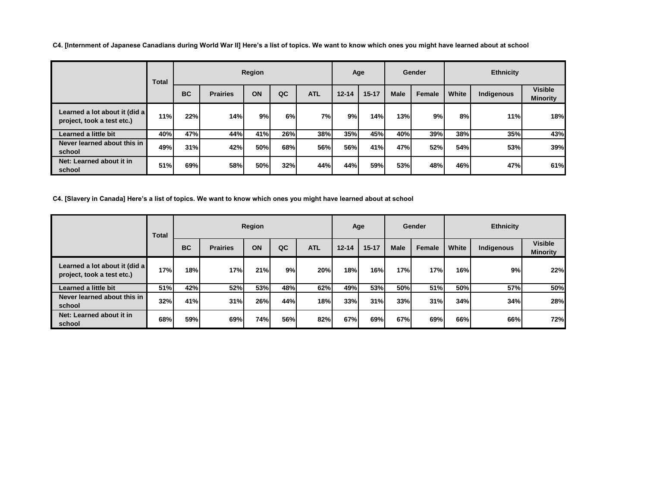**C4. [Internment of Japanese Canadians during World War II] Here's a list of topics. We want to know which ones you might have learned about at school**

|        |                                                             | Total |           |                 | Region |            |            |           | Age       |             | Gender |       | <b>Ethnicity</b> |                                   |
|--------|-------------------------------------------------------------|-------|-----------|-----------------|--------|------------|------------|-----------|-----------|-------------|--------|-------|------------------|-----------------------------------|
|        |                                                             |       | <b>BC</b> | <b>Prairies</b> | ON     | QC         | <b>ATL</b> | $12 - 14$ | $15 - 17$ | <b>Male</b> | Female | White | Indigenous       | <b>Visible</b><br><b>Minority</b> |
|        | Learned a lot about it (did a<br>project, took a test etc.) | 11%   | 22%       | 14%             | 9%     | 6%         | 7%         | 9%        | 14%       | 13%         | 9%     | 8%    | 11%              | 18%                               |
|        | Learned a little bit                                        | 40%   | 47%       | 44%             | 41%    | 26%        | 38%        | 35%       | 45%       | 40%         | 39%    | 38%   | 35%              | 43%                               |
| school | Never learned about this in                                 | 49%   | 31%       | 42%             | 50%l   | <b>68%</b> | 56%        | 56%       | 41%       | 47%         | 52%    | 54%   | 53%              | 39%                               |
| school | Net: Learned about it in                                    | 51%   | 69%       | 58%             | 50%l   | 32%        | 44%        | 44%       | 59%       | 53%         | 48%    | 46%   | 47%              | 61%                               |

**C4. [Slavery in Canada] Here's a list of topics. We want to know which ones you might have learned about at school**

|                                                             | Total |           |                 | Region     |     |            |           | Age        |             | Gender |       | <b>Ethnicity</b> |                                   |
|-------------------------------------------------------------|-------|-----------|-----------------|------------|-----|------------|-----------|------------|-------------|--------|-------|------------------|-----------------------------------|
|                                                             |       | <b>BC</b> | <b>Prairies</b> | ON         | QC  | <b>ATL</b> | $12 - 14$ | $15 - 17$  | <b>Male</b> | Female | White | Indigenous       | <b>Visible</b><br><b>Minority</b> |
| Learned a lot about it (did a<br>project, took a test etc.) | 17%   | 18%       | 17%             | 21%        | 9%  | 20%        | 18%       | <b>16%</b> | 17%         | 17%    | 16%   | 9%               | 22%                               |
| Learned a little bit                                        | 51%   | 42%       | 52%             | <b>53%</b> | 48% | 62%        | 49%       | 53%        | <b>50%</b>  | 51%    | 50%   | 57%              | 50%                               |
| Never learned about this in<br>school                       | 32%   | 41%       | 31%             | 26%        | 44% | 18%        | 33%       | 31%        | 33%         | 31%    | 34%   | 34%              | 28%                               |
| Net: Learned about it in<br>school                          | 68%   | 59%       | 69%             | 74%        | 56% | 82%        | 67%       | 69%        | 67%         | 69%    | 66%   | 66%              | 72%                               |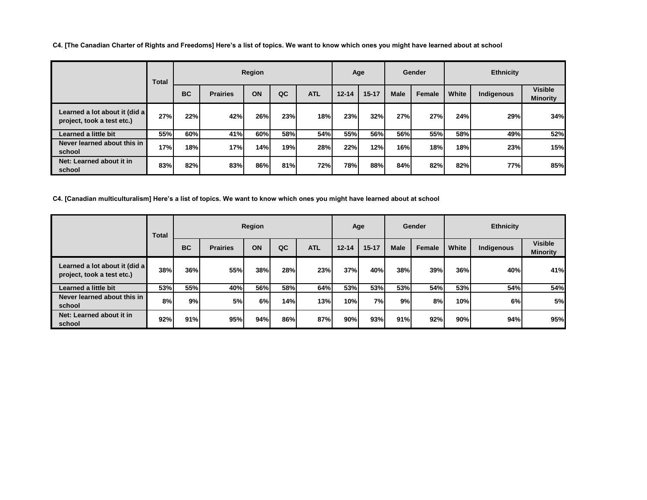**C4. [The Canadian Charter of Rights and Freedoms] Here's a list of topics. We want to know which ones you might have learned about at school**

|                                                             | Total |           |                 | Region |     |            |           | Age       |             | Gender     |       | <b>Ethnicity</b> |                                   |
|-------------------------------------------------------------|-------|-----------|-----------------|--------|-----|------------|-----------|-----------|-------------|------------|-------|------------------|-----------------------------------|
|                                                             |       | <b>BC</b> | <b>Prairies</b> | ON     | QC  | <b>ATL</b> | $12 - 14$ | $15 - 17$ | <b>Male</b> | Female     | White | Indigenous       | <b>Visible</b><br><b>Minority</b> |
| Learned a lot about it (did a<br>project, took a test etc.) | 27%   | 22%       | 42%             | 26%    | 23% | 18%        | 23%       | 32%       | 27%         | 27%        | 24%   | 29%              | 34%                               |
| Learned a little bit                                        | 55%   | 60%       | 41%             | 60%    | 58% | 54%        | 55%l      | 56%       | 56%         | 55%        | 58%   | 49%              | 52%                               |
| Never learned about this in<br>school                       | 17%   | 18%       | 17%             | 14%    | 19% | 28%        | 22%       | 12%       | 16%         | <b>18%</b> | 18%   | 23%              | 15%                               |
| Net: Learned about it in<br>school                          | 83%   | 82%       | 83%             | 86%    | 81% | 72%        | 78%       | 88%       | 84%         | 82%        | 82%   | 77%              | 85%                               |

**C4. [Canadian multiculturalism] Here's a list of topics. We want to know which ones you might have learned about at school**

|                                                             | Total |           |                 | Region |     |            |           | Age       |             | Gender |       | <b>Ethnicity</b> |                                   |
|-------------------------------------------------------------|-------|-----------|-----------------|--------|-----|------------|-----------|-----------|-------------|--------|-------|------------------|-----------------------------------|
|                                                             |       | <b>BC</b> | <b>Prairies</b> | ON     | QC  | <b>ATL</b> | $12 - 14$ | $15 - 17$ | <b>Male</b> | Female | White | Indigenous       | <b>Visible</b><br><b>Minority</b> |
| Learned a lot about it (did a<br>project, took a test etc.) | 38%   | 36%       | 55%             | 38%    | 28% | 23%        | 37%       | 40%       | 38%         | 39%    | 36%   | 40%              | 41%                               |
| Learned a little bit                                        | 53%   | 55%       | 40%             | 56%l   | 58% | 64%        | 53%       | 53%       | 53%         | 54%    | 53%   | 54%              | 54%                               |
| Never learned about this in<br>school                       | 8%    | 9%        | 5%              | 6%     | 14% | 13%        | 10%       | 7%l       | 9%          | 8%     | 10%   | 6%               | 5%                                |
| Net: Learned about it in<br>school                          | 92%   | 91%       | 95%             | 94%    | 86% | 87%        | 90%       | 93%       | 91%         | 92%    | 90%   | 94%              | 95%                               |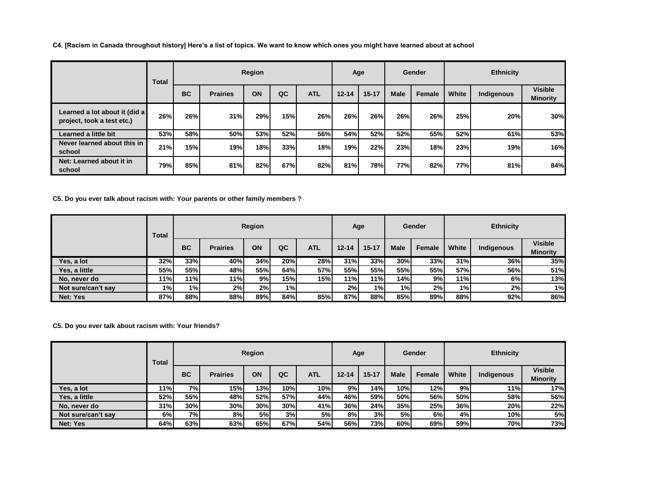**C4. [Racism in Canada throughout history] Here's a list of topics. We want to know which ones you might have learned about at school**

|                                                             | Total |           |                 | Region     |     |            |           | Age        |             | Gender |       | <b>Ethnicity</b> |                                   |
|-------------------------------------------------------------|-------|-----------|-----------------|------------|-----|------------|-----------|------------|-------------|--------|-------|------------------|-----------------------------------|
|                                                             |       | <b>BC</b> | <b>Prairies</b> | ON         | QC  | <b>ATL</b> | $12 - 14$ | $15 - 17$  | <b>Male</b> | Female | White | Indigenous       | <b>Visible</b><br><b>Minority</b> |
| Learned a lot about it (did a<br>project, took a test etc.) | 26%   | 26%       | 31%             | 29%        | 15% | 26%        | 26%       | <b>26%</b> | 26%         | 26%    | 25%   | 20%              | 30%                               |
| Learned a little bit                                        | 53%   | 58%       | 50%l            | <b>53%</b> | 52% | 56%        | 54%       | 52%        | 52%         | 55%    | 52%   | 61%              | 53%                               |
| Never learned about this in<br>school                       | 21%   | 15%       | 19%             | 18%        | 33% | 18%        | 19%       | 22%        | 23%         | 18%    | 23%   | 19%              | 16%                               |
| Net: Learned about it in<br>school                          | 79%   | 85%       | 81%             | 82%        | 67% | 82%        | 81%       | 78%        | <b>77%</b>  | 82%    | 77%   | 81%              | 84%                               |

**C5. Do you ever talk about racism with: Your parents or other family members ?**

|                    | Total      |           |                 | Region |     |            |           | Age       |            | Gender |       | <b>Ethnicity</b> |                                   |
|--------------------|------------|-----------|-----------------|--------|-----|------------|-----------|-----------|------------|--------|-------|------------------|-----------------------------------|
|                    |            | <b>BC</b> | <b>Prairies</b> | ON     | QC  | <b>ATL</b> | $12 - 14$ | $15 - 17$ | Male       | Female | White | Indigenous       | <b>Visible</b><br><b>Minority</b> |
| Yes, a lot         | 32%        | 33%       | 40%             | 34%    | 20% | 28%        | 31%       | 33%       | 30%        | 33%    | 31%   | 36%              | 35%                               |
| Yes, a little      | <b>55%</b> | 55%l      | 48%             | 55%l   | 64% | 57%        | 55%I      | 55%       | <b>55%</b> | 55%    | 57%   | 56%              | 51%                               |
| No, never do       | 11%        | 11%       | 11%             | 9%     | 15% | 15%        | 11%       | 11%       | 14%        | 9%     | 11%   | 6%               | 13%                               |
| Not sure/can't say | 1%I        | 1%        | 2%              | 2%     | 1%  |            | 2%        | 1%)       | 1%I        | 2%     | 1%    | 2%               | 1%                                |
| Net: Yes           | 87%        | 88%       | 88%             | 89%    | 84% | 85%        | 87%       | 88%       | 85%        | 89%    | 88%   | 92%              | 86%                               |

**C5. Do you ever talk about racism with: Your friends?**

|                    | Total |            |                 | Region |     |            |           | Age       |             | Gender |       | <b>Ethnicity</b> |                                   |
|--------------------|-------|------------|-----------------|--------|-----|------------|-----------|-----------|-------------|--------|-------|------------------|-----------------------------------|
|                    |       | <b>BC</b>  | <b>Prairies</b> | ON     | QC  | <b>ATL</b> | $12 - 14$ | $15 - 17$ | <b>Male</b> | Female | White | Indigenous       | <b>Visible</b><br><b>Minority</b> |
| Yes, a lot         | 11%   | 7%I        | 15%             | 13%    | 10% | 10%        | 9%        | 14%       | 10%         | 12%    | 9%    | 11%              | 17%                               |
| Yes, a little      | 52%   | <b>55%</b> | 48%             | 52%l   | 57% | 44%        | 46%       | 59%       | 50%l        | 56%    | 50%   | 58%              | 56%                               |
| No. never do       | 31%   | 30%        | 30%             | 30%    | 30% | 41%I       | 36%       | 24%       | 35%         | 25%    | 36%   | 20%              | 22%                               |
| Not sure/can't say | 6%    | 7%I        | 8%              | 5%     | 3%  | 5%         | 8%        | 3%        | 5%          | 6%     | 4%    | 10%              | 5%                                |
| Net: Yes           | 64%   | 63%        | 63%             | 65%l   | 67% | 54%        | 56%l      | 73%       | 60%         | 69%    | 59%   | 70%              | 73%                               |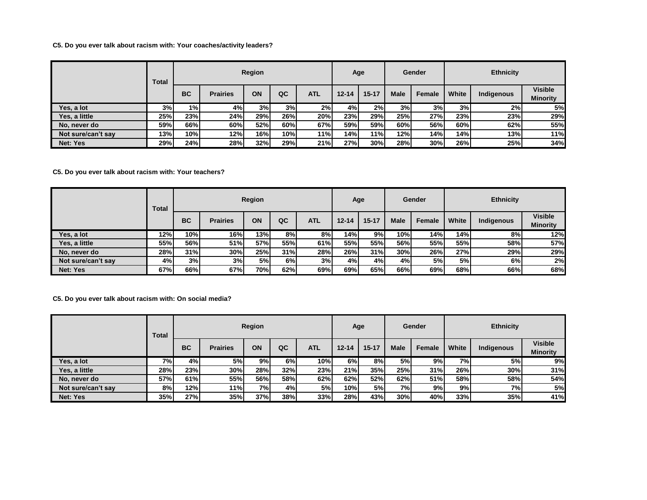## **C5. Do you ever talk about racism with: Your coaches/activity leaders?**

|                    | Total |           |                 | Region |     |            | Age       |           |             | Gender |       | <b>Ethnicity</b> |                                   |
|--------------------|-------|-----------|-----------------|--------|-----|------------|-----------|-----------|-------------|--------|-------|------------------|-----------------------------------|
|                    |       | <b>BC</b> | <b>Prairies</b> | ON     | QC  | <b>ATL</b> | $12 - 14$ | $15 - 17$ | <b>Male</b> | Female | White | Indigenous       | <b>Visible</b><br><b>Minority</b> |
| Yes, a lot         | 3%    | 1% l      | 4%              | 3%     | 3%  | 2%         | 4%        | 2%        | 3%          | 3%     | 3%    | 2%               | 5%                                |
| Yes, a little      | 25%   | 23%       | 24%             | 29%    | 26% | 20%        | 23%       | 29%       | 25%         | 27%    | 23%   | 23%              | 29%                               |
| No, never do       | 59%   | 66%l      | 60%             | 52%l   | 60% | 67%        | 59%       | 59%l      | 60%         | 56%    | 60%   | 62%              | 55%                               |
| Not sure/can't say | 13%   | 10%       | 12%             | 16%    | 10% | 11%        | 14%       | 11%       | 12%         | 14%    | 14%   | 13%              | 11%                               |
| Net: Yes           | 29%   | 24%       | 28%             | 32%    | 29% | 21%        | 27%       | 30%       | 28%         | 30%    | 26%   | 25%              | 34%                               |

**C5. Do you ever talk about racism with: Your teachers?**

|                    | Total |           |                 | Region |     |            |           | Age       |             | Gender |       | <b>Ethnicity</b> |                                   |
|--------------------|-------|-----------|-----------------|--------|-----|------------|-----------|-----------|-------------|--------|-------|------------------|-----------------------------------|
|                    |       | <b>BC</b> | <b>Prairies</b> | ON     | QC  | <b>ATL</b> | $12 - 14$ | $15 - 17$ | <b>Male</b> | Female | White | Indigenous       | <b>Visible</b><br><b>Minority</b> |
| Yes, a lot         | 12%   | 10%       | 16%             | 13%    | 8%  | 8%         | 14%       | 9%        | 10%         | 14%    | 14%   | 8%               | 12%                               |
| Yes, a little      | 55%   | 56%l      | 51%             | 57%    | 55% | 61%        | 55%I      | 55%l      | 56%l        | 55%    | 55%   | 58%              | 57%                               |
| No. never do       | 28%   | 31%       | 30%             | 25%    | 31% | 28%        | 26%       | 31%       | 30%         | 26%    | 27%   | 29%              | 29%                               |
| Not sure/can't say | 4%    | 3%        | 3%              | 5%     | 6%  | 3%         | 4%        | 4%        | 4%          | 5%     | 5%    | 6%               | 2%                                |
| Net: Yes           | 67%   | 66%l      | 67%             | 70%    | 62% | 69%        | 69%I      | 65%l      | 66%I        | 69%I   | 68%l  | 66%              | 68%                               |

**C5. Do you ever talk about racism with: On social media?**

|                    | Total      |           |                 | Region |     |            | Age       |           |             | Gender |       | <b>Ethnicity</b> |                                   |
|--------------------|------------|-----------|-----------------|--------|-----|------------|-----------|-----------|-------------|--------|-------|------------------|-----------------------------------|
|                    |            | <b>BC</b> | <b>Prairies</b> | ON     | QC  | <b>ATL</b> | $12 - 14$ | $15 - 17$ | <b>Male</b> | Female | White | Indigenous       | <b>Visible</b><br><b>Minority</b> |
| Yes, a lot         | 7%I        | 4%        | 5%              | 9%l    | 6%  | 10%        | 6%        | 8%        | 5%          | 9%     | 7%    | 5%I              | 9%                                |
| Yes, a little      | 28%        | 23%       | 30%             | 28%    | 32% | 23%        | 21%       | 35%       | 25%         | 31%    | 26%   | 30%              | 31%                               |
| No. never do       | <b>57%</b> | 61%       | 55%             | 56%l   | 58% | 62%        | 62%       | 52%l      | 62%         | 51%    | 58%   | 58%              | 54%                               |
| Not sure/can't say | 8%         | 12%       | 11%             | 7%     | 4%  | 5%         | 10%       | 5%I       | 7%          | 9%     | 9%    | 7%               | 5%                                |
| Net: Yes           | 35%        | 27%       | 35%             | 37%    | 38% | 33%        | 28%       | 43%l      | 30%         | 40%    | 33%   | 35%              | 41%                               |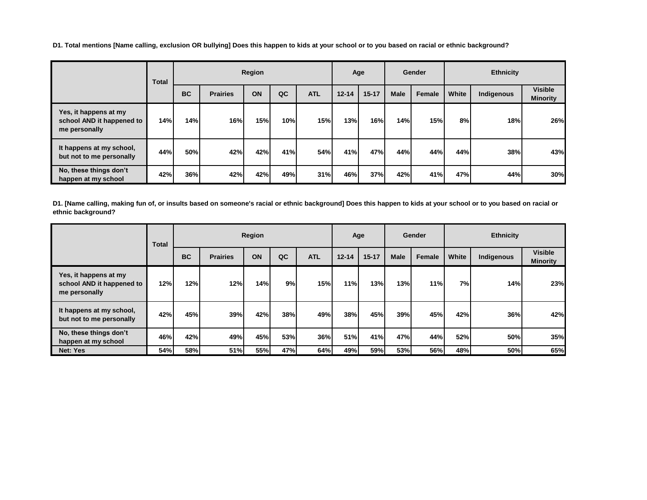**D1. Total mentions [Name calling, exclusion OR bullying] Does this happen to kids at your school or to you based on racial or ethnic background?**

|                                                                     | <b>Total</b> |           |                 | Region |     |            |           | Age       |             | Gender |       | <b>Ethnicity</b> |                                   |
|---------------------------------------------------------------------|--------------|-----------|-----------------|--------|-----|------------|-----------|-----------|-------------|--------|-------|------------------|-----------------------------------|
|                                                                     |              | <b>BC</b> | <b>Prairies</b> | ON     | QC  | <b>ATL</b> | $12 - 14$ | $15 - 17$ | <b>Male</b> | Female | White | Indigenous       | <b>Visible</b><br><b>Minority</b> |
| Yes, it happens at my<br>school AND it happened to<br>me personally | 14%          | 14%       | 16%             | 15%    | 10% | 15%        | 13%       | 16%       | 14%         | 15%    | 8%    | 18%              | 26%                               |
| It happens at my school,<br>but not to me personally                | 44%          | 50%       | 42%             | 42%    | 41% | 54%        | 41%       | 47%       | 44%         | 44%    | 44%   | 38%              | 43%                               |
| No, these things don't<br>happen at my school                       | 42%          | 36%       | 42%             | 42%    | 49% | 31%        | 46%       | 37%       | 42%         | 41%    | 47%   | 44%              | 30%                               |

**D1. [Name calling, making fun of, or insults based on someone's racial or ethnic background] Does this happen to kids at your school or to you based on racial or ethnic background?**

|                                                                     | <b>Total</b> |           |                 | Region |     |            |            | Age       |             | Gender |       | <b>Ethnicity</b> |                                   |
|---------------------------------------------------------------------|--------------|-----------|-----------------|--------|-----|------------|------------|-----------|-------------|--------|-------|------------------|-----------------------------------|
|                                                                     |              | <b>BC</b> | <b>Prairies</b> | ON     | QC  | <b>ATL</b> | $12 - 14$  | $15 - 17$ | <b>Male</b> | Female | White | Indigenous       | <b>Visible</b><br><b>Minority</b> |
| Yes, it happens at my<br>school AND it happened to<br>me personally | 12%          | 12%       | 12%             | 14%    | 9%  | 15%        | 11%        | 13%       | 13%         | 11%    | 7%l   | 14%              | 23%                               |
| It happens at my school,<br>but not to me personally                | 42%          | 45%       | 39%             | 42%    | 38% | 49%        | 38%        | 45%       | 39%         | 45%    | 42%   | 36%              | 42%                               |
| No, these things don't<br>happen at my school                       | 46%          | 42%       | 49%             | 45%    | 53% | 36%        | <b>51%</b> | 41%       | 47%         | 44%    | 52%   | <b>50%</b>       | 35%                               |
| Net: Yes                                                            | 54%          | 58%l      | 51%             | 55%    | 47% | 64%        | 49%        | 59%       | 53%         | 56%    | 48%   | 50%              | 65%                               |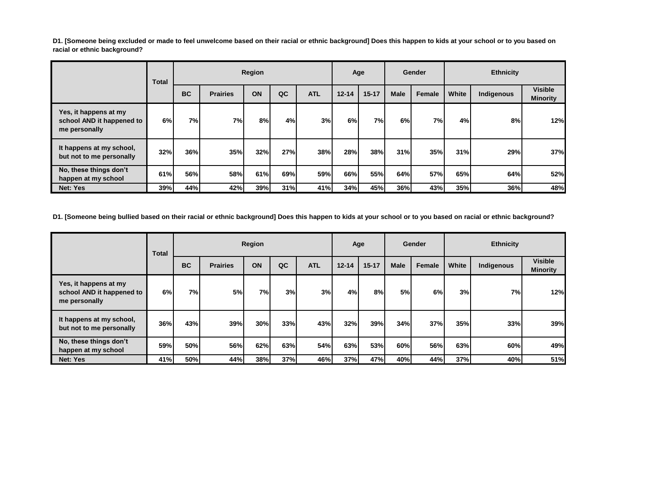**D1. [Someone being excluded or made to feel unwelcome based on their racial or ethnic background] Does this happen to kids at your school or to you based on racial or ethnic background?**

|                                                                     | Total |           |                 | Region |     |            | Age       |           |             | Gender |       | <b>Ethnicity</b> |                                   |
|---------------------------------------------------------------------|-------|-----------|-----------------|--------|-----|------------|-----------|-----------|-------------|--------|-------|------------------|-----------------------------------|
|                                                                     |       | <b>BC</b> | <b>Prairies</b> | ON     | QC  | <b>ATL</b> | $12 - 14$ | $15 - 17$ | <b>Male</b> | Female | White | Indigenous       | <b>Visible</b><br><b>Minority</b> |
| Yes, it happens at my<br>school AND it happened to<br>me personally | 6%    | 7%I       | 7%I             | 8%     | 4%  | 3%         | 6%        | <b>7%</b> | 6%          | 7%     | 4%    | 8%               | 12%                               |
| It happens at my school,<br>but not to me personally                | 32%   | 36%       | 35%             | 32%    | 27% | 38%        | 28%       | 38%       | 31%         | 35%    | 31%   | 29%              | 37%                               |
| No, these things don't<br>happen at my school                       | 61%   | 56%       | <b>58%</b>      | 61%    | 69% | 59%        | 66%I      | 55%       | 64%         | 57%    | 65%   | 64%              | 52%                               |
| Net: Yes                                                            | 39%   | 44%       | 42%             | 39%    | 31% | 41%        | 34%       | 45%       | 36%         | 43%    | 35%   | 36%              | 48%                               |

**D1. [Someone being bullied based on their racial or ethnic background] Does this happen to kids at your school or to you based on racial or ethnic background?**

|                                                                     | <b>Total</b> |           |                 | Region |     |            |           | Age       |             | Gender |       | <b>Ethnicity</b> |                                   |
|---------------------------------------------------------------------|--------------|-----------|-----------------|--------|-----|------------|-----------|-----------|-------------|--------|-------|------------------|-----------------------------------|
|                                                                     |              | <b>BC</b> | <b>Prairies</b> | ON     | QC  | <b>ATL</b> | $12 - 14$ | $15 - 17$ | <b>Male</b> | Female | White | Indigenous       | <b>Visible</b><br><b>Minority</b> |
| Yes, it happens at my<br>school AND it happened to<br>me personally | 6%           | 7%        | 5%              | 7%I    | 3%  | 3%         | 4%        | 8%        | 5%          | 6%     | 3%    | 7%               | 12%                               |
| It happens at my school,<br>but not to me personally                | 36%          | 43%       | 39%             | 30%    | 33% | 43%        | 32%       | 39%       | 34%         | 37%    | 35%   | 33%              | 39%                               |
| No, these things don't<br>happen at my school                       | <b>59%</b>   | 50%       | 56%l            | 62%    | 63% | 54%        | 63%       | 53%       | 60%         | 56%    | 63%   | 60%              | 49%                               |
| Net: Yes                                                            | 41%          | 50%       | 44%             | 38%    | 37% | 46%        | 37%       | 47%       | 40%         | 44%    | 37%   | 40%              | 51%                               |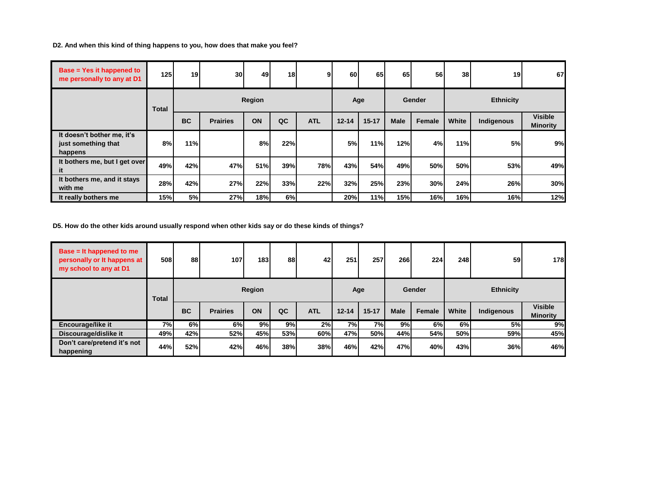**D2. And when this kind of thing happens to you, how does that make you feel?**

| <b>Base = Yes it happened to</b><br>me personally to any at D1 | 125 <sup>1</sup> | 19        | 30 <sup>l</sup> | 49     | 18 <sub>1</sub> | 9          | 60        | 65        | 65          | 56            | 38 <sup>1</sup> | 19               | 67                                |
|----------------------------------------------------------------|------------------|-----------|-----------------|--------|-----------------|------------|-----------|-----------|-------------|---------------|-----------------|------------------|-----------------------------------|
|                                                                | <b>Total</b>     |           |                 | Region |                 |            |           | Age       |             | <b>Gender</b> |                 | <b>Ethnicity</b> |                                   |
|                                                                |                  | <b>BC</b> | <b>Prairies</b> | ON     | QC              | <b>ATL</b> | $12 - 14$ | $15 - 17$ | <b>Male</b> | Female        | White           | Indigenous       | <b>Visible</b><br><b>Minority</b> |
| It doesn't bother me, it's<br>just something that<br>happens   | 8%               | 11%       |                 | 8%     | 22%             |            | 5%        | 11%l      | 12%         | 4%            | 11%             | 5%               | 9%                                |
| It bothers me, but I get over<br>it                            | 49%              | 42%       | 47%             | 51%    | 39%             | 78%        | 43%       | 54%       | 49%         | 50%           | 50%             | 53%              | 49%                               |
| It bothers me, and it stays<br>with me                         | 28%              | 42%       | 27%             | 22%    | 33%             | 22%        | 32%       | 25%       | 23%         | 30%           | 24%             | 26%              | 30%                               |
| It really bothers me                                           | 15%              | 5%        | 27%             | 18%    | 6%              |            | 20%       | 11%       | 15%         | 16%           | 16%             | 16%              | 12%                               |

**D5. How do the other kids around usually respond when other kids say or do these kinds of things?**

| Base $=$ It happened to me<br>personally or It happens at<br>my school to any at D1 | 508   | 88        | 107             | 183 <sup>l</sup> | 88  | 42         | 251       | <b>257</b> | 266         | 224    | 248   | <b>59</b>        | 178                               |
|-------------------------------------------------------------------------------------|-------|-----------|-----------------|------------------|-----|------------|-----------|------------|-------------|--------|-------|------------------|-----------------------------------|
|                                                                                     | Total |           |                 | Region           |     |            | Age       |            |             | Gender |       | <b>Ethnicity</b> |                                   |
|                                                                                     |       | <b>BC</b> | <b>Prairies</b> | ON               | QC  | <b>ATL</b> | $12 - 14$ | $15 - 17$  | <b>Male</b> | Female | White | Indigenous       | <b>Visible</b><br><b>Minority</b> |
| <b>Encourage/like it</b>                                                            | 7%I   | 6%        | 6%              | 9%               | 9%  | 2%         | 7%I       | 7%         | 9%          | 6%     | 6%    | 5%               | 9%                                |
| Discourage/dislike it                                                               | 49%   | 42%       | 52%             | 45%l             | 53% | 60%        | 47%       | 50%l       | 44%         | 54%    | 50%   | 59%              | 45%                               |
| Don't care/pretend it's not<br>happening                                            | 44%   | 52%       | 42%             | 46%              | 38% | 38%        | 46%       | 42%        | 47%         | 40%    | 43%   | 36%              | 46%                               |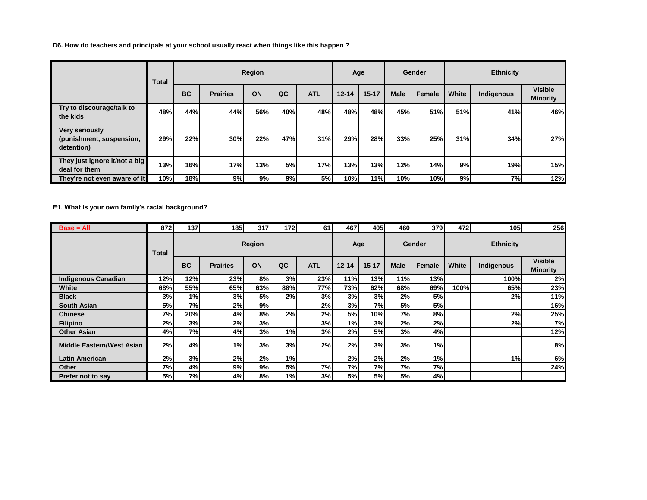**D6. How do teachers and principals at your school usually react when things like this happen ?**

|                                                                 | <b>Total</b> |           |                 | Region |     |            |           | Age       |             | Gender |       | <b>Ethnicity</b> |                                   |
|-----------------------------------------------------------------|--------------|-----------|-----------------|--------|-----|------------|-----------|-----------|-------------|--------|-------|------------------|-----------------------------------|
|                                                                 |              | <b>BC</b> | <b>Prairies</b> | ON     | QC  | <b>ATL</b> | $12 - 14$ | $15 - 17$ | <b>Male</b> | Female | White | Indigenous       | <b>Visible</b><br><b>Minority</b> |
| Try to discourage/talk to<br>the kids                           | 48%          | 44%l      | 44%             | 56%    | 40% | 48%        | 48%       | 48%       | 45%         | 51%    | 51%   | 41%              | 46%                               |
| <b>Very seriously</b><br>(punishment, suspension,<br>detention) | 29%          | 22%       | 30%             | 22%    | 47% | 31%        | 29%       | 28%       | 33%         | 25%    | 31%   | 34%              | 27%                               |
| They just ignore it/not a big<br>deal for them                  | 13%          | 16%       | <b>17%</b>      | 13%    | 5%  | 17%        | 13%       | 13%       | 12%         | 14%    | 9%    | 19%              | 15%                               |
| They're not even aware of it                                    | 10%          | 18%       | 9%              | 9%     | 9%  | 5%         | 10%       | 11%       | 10%         | 10%    | 9%    | 7%               | 12%                               |

**E1. What is your own family's racial background?**

| $Base = All$               | 872   | 137       | 185             | 317    | 172 | 61         | 467       | 405       | 4601        | 379    | 472   | 105              | 256                               |
|----------------------------|-------|-----------|-----------------|--------|-----|------------|-----------|-----------|-------------|--------|-------|------------------|-----------------------------------|
|                            | Total |           |                 | Region |     |            |           | Age       |             | Gender |       | <b>Ethnicity</b> |                                   |
|                            |       | <b>BC</b> | <b>Prairies</b> | ON     | QC  | <b>ATL</b> | $12 - 14$ | $15 - 17$ | <b>Male</b> | Female | White | Indigenous       | <b>Visible</b><br><b>Minority</b> |
| <b>Indigenous Canadian</b> | 12%   | 12%       | 23%             | 8%     | 3%  | 23%        | 11%       | 13%       | 11%         | 13%    |       | 100%             | 2%                                |
| White                      | 68%   | 55%       | 65%             | 63%    | 88% | 77%        | 73%       | 62%       | 68%         | 69%    | 100%  | 65%              | 23%                               |
| <b>Black</b>               | 3%    | 1%        | 3%              | 5%     | 2%  | 3%         | 3%        | 3%        | 2%          | 5%     |       | 2%               | 11%                               |
| <b>South Asian</b>         | 5%    | 7%I       | 2%              | 9%     |     | 2%         | 3%        | 7%        | 5%          | 5%     |       |                  | 16%                               |
| Chinese                    | 7%    | 20%       | 4%              | 8%     | 2%  | 2%         | 5%I       | 10%       | 7%          | 8%     |       | 2%               | 25%                               |
| <b>Filipino</b>            | 2%    | 3%        | 2%              | 3%     |     | 3%         | 1%        | 3%        | 2%          | 2%     |       | 2%               | 7%                                |
| <b>Other Asian</b>         | 4%    | 7%        | 4%              | 3%     | 1%  | 3%         | 2%        | 5%        | 3%          | 4%     |       |                  | 12%                               |
| Middle Eastern/West Asian  | 2%    | 4%        | 1%              | 3%     | 3%  | 2%         | 2%        | 3%        | 3%          | 1%     |       |                  | 8%                                |
| Latin American             | 2%    | 3%        | 2%              | 2%     | 1%  |            | 2%        | 2%        | 2%          | 1%     |       | 1%               | 6%                                |
| <b>Other</b>               | 7%    | 4%        | 9%              | 9%     | 5%  | 7%         | 7%        | 7%        | 7%          | 7%     |       |                  | 24%                               |
| Prefer not to say          | 5%    | <b>7%</b> | 4%              | 8%     | 1%  | 3%         | 5%        | 5%        | 5%          | 4%     |       |                  |                                   |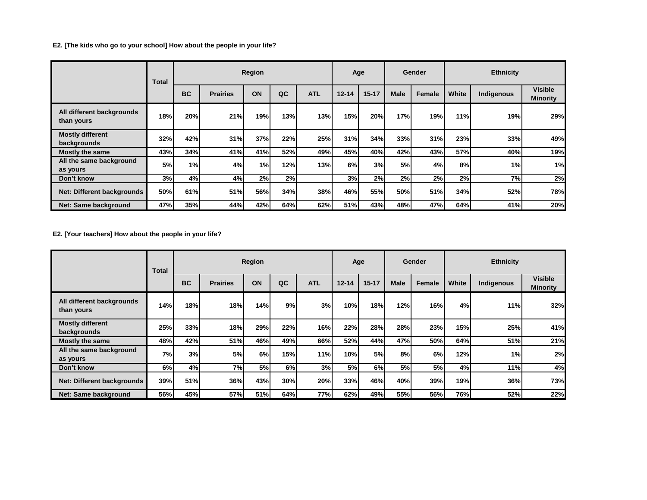**E2. [The kids who go to your school] How about the people in your life?**

|                                         | <b>Total</b> |           |                 | Region |            |            |           | Age        |             | Gender |       | <b>Ethnicity</b> |                                   |
|-----------------------------------------|--------------|-----------|-----------------|--------|------------|------------|-----------|------------|-------------|--------|-------|------------------|-----------------------------------|
|                                         |              | <b>BC</b> | <b>Prairies</b> | ON     | QC         | <b>ATL</b> | $12 - 14$ | $15 - 17$  | <b>Male</b> | Female | White | Indigenous       | <b>Visible</b><br><b>Minority</b> |
| All different backgrounds<br>than yours | 18%          | 20%       | 21%             | 19%    | 13%        | 13%        | 15%       | 20%        | 17%         | 19%)   | 11%   | 19%              | 29%                               |
| <b>Mostly different</b><br>backgrounds  | 32%          | 42%       | 31%             | 37%    | 22%        | 25%        | 31%       | <b>34%</b> | 33%         | 31%    | 23%   | 33%              | 49%                               |
| <b>Mostly the same</b>                  | 43%          | 34%       | 41%             | 41%    | <b>52%</b> | 49%        | 45%       | 40%        | 42%         | 43%    | 57%   | 40%              | 19%                               |
| All the same background<br>as yours     | 5%           | 1%        | 4%              | 1%     | 12%        | 13%        | 6%        | 3%         | <b>5%</b>   | 4%     | 8%    | 1%               | 1%                                |
| Don't know                              | 3%           | 4%        | 4%              | 2%     | 2%         |            | 3%        | 2%         | 2%          | 2%     | 2%    | 7%               | 2%                                |
| Net: Different backgrounds              | 50%          | 61%       | 51%             | 56%    | 34%        | 38%        | 46%       | 55%        | 50%         | 51%    | 34%   | 52%              | 78%                               |
| Net: Same background                    | 47%          | 35%       | 44%             | 42%    | 64%        | 62%        | 51%       | 43%        | 48%         | 47%    | 64%   | 41%              | 20%                               |

**E2. [Your teachers] How about the people in your life?**

|                                         | Total | Region    |                 |     |      |            |           | Age       |             | Gender |       | <b>Ethnicity</b> |                                   |  |
|-----------------------------------------|-------|-----------|-----------------|-----|------|------------|-----------|-----------|-------------|--------|-------|------------------|-----------------------------------|--|
|                                         |       | <b>BC</b> | <b>Prairies</b> | ON  | QC   | <b>ATL</b> | $12 - 14$ | $15 - 17$ | <b>Male</b> | Female | White | Indigenous       | <b>Visible</b><br><b>Minority</b> |  |
| All different backgrounds<br>than yours | 14%   | 18%       | 18%             | 14% | 9%   | 3%         | 10%       | 18%       | 12%         | 16%    | 4%    | 11%              | 32%                               |  |
| <b>Mostly different</b><br>backgrounds  | 25%   | 33%       | 18%             | 29% | 22%  | 16%        | 22%       | 28%       | 28%         | 23%    | 15%   | 25%              | 41%                               |  |
| <b>Mostly the same</b>                  | 48%   | 42%       | 51%             | 46% | 49%  | 66%        | 52%       | 44%       | 47%         | 50%    | 64%   | 51%              | 21%                               |  |
| All the same background<br>as yours     | 7%    | 3%        | 5%              | 6%  | 15%) | 11%        | 10%       | 5%        | 8%          | 6%     | 12%   | 1%               | 2%                                |  |
| Don't know                              | 6%    | 4%        | 7%I             | 5%  | 6%   | 3%         | <b>5%</b> | 6%        | 5%          | 5%     | 4%    | 11%              | 4%                                |  |
| Net: Different backgrounds              | 39%   | 51%       | 36%             | 43% | 30%  | 20%        | 33%       | 46%       | 40%         | 39%    | 19%   | 36%              | 73%                               |  |
| Net: Same background                    | 56%   | 45%       | 57%             | 51% | 64%  | 77%        | 62%       | 49%       | 55%         | 56%    | 76%   | 52%              | 22%                               |  |